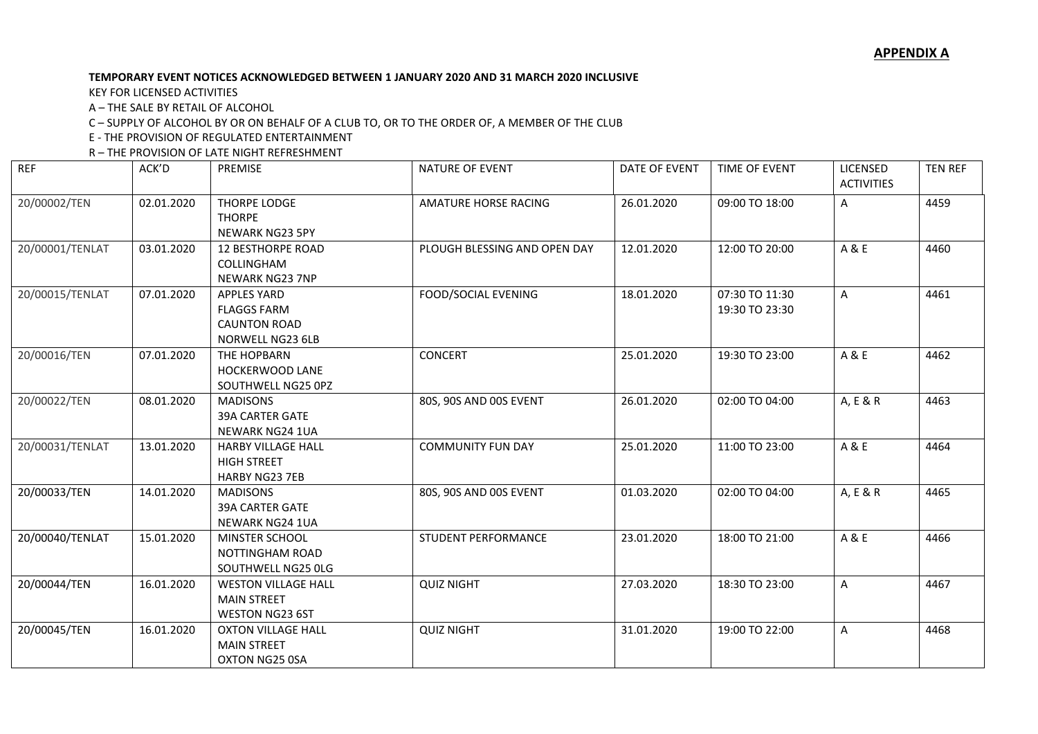## **TEMPORARY EVENT NOTICES ACKNOWLEDGED BETWEEN 1 JANUARY 2020 AND 31 MARCH 2020 INCLUSIVE**

KEY FOR LICENSED ACTIVITIES

A – THE SALE BY RETAIL OF ALCOHOL

C – SUPPLY OF ALCOHOL BY OR ON BEHALF OF A CLUB TO, OR TO THE ORDER OF, A MEMBER OF THE CLUB

E - THE PROVISION OF REGULATED ENTERTAINMENT

R – THE PROVISION OF LATE NIGHT REFRESHMENT

| <b>REF</b>      | ACK'D      | PREMISE                                                                             | NATURE OF EVENT              | DATE OF EVENT | TIME OF EVENT                    | LICENSED<br><b>ACTIVITIES</b> | <b>TEN REF</b> |
|-----------------|------------|-------------------------------------------------------------------------------------|------------------------------|---------------|----------------------------------|-------------------------------|----------------|
| 20/00002/TEN    | 02.01.2020 | <b>THORPE LODGE</b><br><b>THORPE</b><br>NEWARK NG23 5PY                             | AMATURE HORSE RACING         | 26.01.2020    | 09:00 TO 18:00                   | A                             | 4459           |
| 20/00001/TENLAT | 03.01.2020 | <b>12 BESTHORPE ROAD</b><br><b>COLLINGHAM</b><br><b>NEWARK NG23 7NP</b>             | PLOUGH BLESSING AND OPEN DAY | 12.01.2020    | 12:00 TO 20:00                   | A & E                         | 4460           |
| 20/00015/TENLAT | 07.01.2020 | <b>APPLES YARD</b><br><b>FLAGGS FARM</b><br><b>CAUNTON ROAD</b><br>NORWELL NG23 6LB | <b>FOOD/SOCIAL EVENING</b>   | 18.01.2020    | 07:30 TO 11:30<br>19:30 TO 23:30 | A                             | 4461           |
| 20/00016/TEN    | 07.01.2020 | THE HOPBARN<br>HOCKERWOOD LANE<br>SOUTHWELL NG25 0PZ                                | <b>CONCERT</b>               | 25.01.2020    | 19:30 TO 23:00                   | A & E                         | 4462           |
| 20/00022/TEN    | 08.01.2020 | <b>MADISONS</b><br><b>39A CARTER GATE</b><br>NEWARK NG24 1UA                        | 80S, 90S AND 00S EVENT       | 26.01.2020    | 02:00 TO 04:00                   | A, E & R                      | 4463           |
| 20/00031/TENLAT | 13.01.2020 | <b>HARBY VILLAGE HALL</b><br><b>HIGH STREET</b><br><b>HARBY NG23 7EB</b>            | <b>COMMUNITY FUN DAY</b>     | 25.01.2020    | 11:00 TO 23:00                   | A & E                         | 4464           |
| 20/00033/TEN    | 14.01.2020 | <b>MADISONS</b><br><b>39A CARTER GATE</b><br><b>NEWARK NG24 1UA</b>                 | 80S, 90S AND 00S EVENT       | 01.03.2020    | 02:00 TO 04:00                   | A, E & R                      | 4465           |
| 20/00040/TENLAT | 15.01.2020 | <b>MINSTER SCHOOL</b><br><b>NOTTINGHAM ROAD</b><br>SOUTHWELL NG25 OLG               | STUDENT PERFORMANCE          | 23.01.2020    | 18:00 TO 21:00                   | A & E                         | 4466           |
| 20/00044/TEN    | 16.01.2020 | <b>WESTON VILLAGE HALL</b><br><b>MAIN STREET</b><br><b>WESTON NG23 6ST</b>          | <b>QUIZ NIGHT</b>            | 27.03.2020    | 18:30 TO 23:00                   | A                             | 4467           |
| 20/00045/TEN    | 16.01.2020 | <b>OXTON VILLAGE HALL</b><br><b>MAIN STREET</b><br>OXTON NG25 0SA                   | <b>QUIZ NIGHT</b>            | 31.01.2020    | 19:00 TO 22:00                   | A                             | 4468           |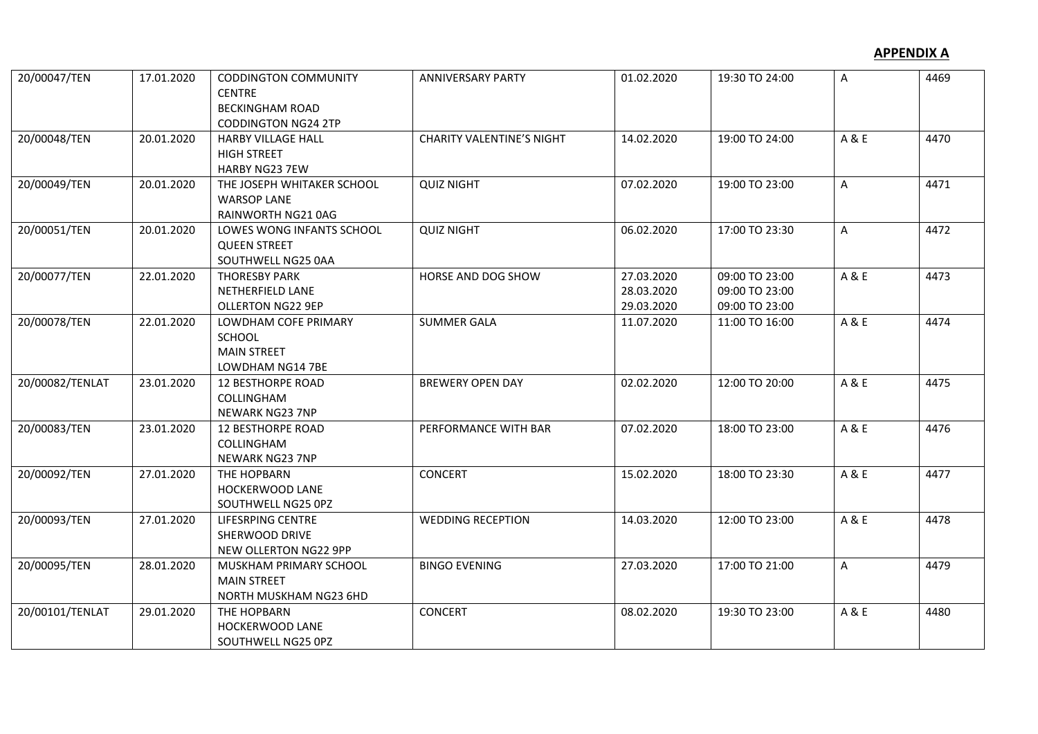| 20/00047/TEN    | 17.01.2020 | <b>CODDINGTON COMMUNITY</b>             | <b>ANNIVERSARY PARTY</b>         | 01.02.2020 | 19:30 TO 24:00 | A     | 4469 |
|-----------------|------------|-----------------------------------------|----------------------------------|------------|----------------|-------|------|
|                 |            | <b>CENTRE</b><br><b>BECKINGHAM ROAD</b> |                                  |            |                |       |      |
|                 |            | <b>CODDINGTON NG24 2TP</b>              |                                  |            |                |       |      |
| 20/00048/TEN    | 20.01.2020 | <b>HARBY VILLAGE HALL</b>               | <b>CHARITY VALENTINE'S NIGHT</b> | 14.02.2020 | 19:00 TO 24:00 | A & E | 4470 |
|                 |            | <b>HIGH STREET</b>                      |                                  |            |                |       |      |
|                 |            | HARBY NG23 7EW                          |                                  |            |                |       |      |
| 20/00049/TEN    | 20.01.2020 | THE JOSEPH WHITAKER SCHOOL              | <b>QUIZ NIGHT</b>                | 07.02.2020 | 19:00 TO 23:00 | A     | 4471 |
|                 |            | <b>WARSOP LANE</b>                      |                                  |            |                |       |      |
|                 |            | RAINWORTH NG21 0AG                      |                                  |            |                |       |      |
| 20/00051/TEN    | 20.01.2020 | LOWES WONG INFANTS SCHOOL               | <b>QUIZ NIGHT</b>                | 06.02.2020 | 17:00 TO 23:30 | A     | 4472 |
|                 |            | <b>QUEEN STREET</b>                     |                                  |            |                |       |      |
|                 |            | SOUTHWELL NG25 0AA                      |                                  |            |                |       |      |
| 20/00077/TEN    | 22.01.2020 | <b>THORESBY PARK</b>                    | HORSE AND DOG SHOW               | 27.03.2020 | 09:00 TO 23:00 | A & E | 4473 |
|                 |            | NETHERFIELD LANE                        |                                  | 28.03.2020 | 09:00 TO 23:00 |       |      |
|                 |            | <b>OLLERTON NG22 9EP</b>                |                                  | 29.03.2020 | 09:00 TO 23:00 |       |      |
| 20/00078/TEN    | 22.01.2020 | LOWDHAM COFE PRIMARY                    | <b>SUMMER GALA</b>               | 11.07.2020 | 11:00 TO 16:00 | A & E | 4474 |
|                 |            | SCHOOL                                  |                                  |            |                |       |      |
|                 |            | <b>MAIN STREET</b>                      |                                  |            |                |       |      |
|                 |            | LOWDHAM NG14 7BE                        |                                  |            |                |       |      |
| 20/00082/TENLAT | 23.01.2020 | <b>12 BESTHORPE ROAD</b>                | <b>BREWERY OPEN DAY</b>          | 02.02.2020 | 12:00 TO 20:00 | A & E | 4475 |
|                 |            | COLLINGHAM                              |                                  |            |                |       |      |
|                 |            | <b>NEWARK NG23 7NP</b>                  |                                  |            |                |       |      |
| 20/00083/TEN    | 23.01.2020 | 12 BESTHORPE ROAD                       | PERFORMANCE WITH BAR             | 07.02.2020 | 18:00 TO 23:00 | A & E | 4476 |
|                 |            | COLLINGHAM                              |                                  |            |                |       |      |
|                 |            | <b>NEWARK NG23 7NP</b>                  |                                  |            |                |       |      |
| 20/00092/TEN    | 27.01.2020 | THE HOPBARN                             | <b>CONCERT</b>                   | 15.02.2020 | 18:00 TO 23:30 | A & E | 4477 |
|                 |            | HOCKERWOOD LANE                         |                                  |            |                |       |      |
|                 |            | SOUTHWELL NG25 0PZ                      |                                  |            |                |       |      |
| 20/00093/TEN    | 27.01.2020 | LIFESRPING CENTRE                       | <b>WEDDING RECEPTION</b>         | 14.03.2020 | 12:00 TO 23:00 | A & E | 4478 |
|                 |            | SHERWOOD DRIVE                          |                                  |            |                |       |      |
|                 |            | NEW OLLERTON NG22 9PP                   |                                  |            |                |       |      |
| 20/00095/TEN    | 28.01.2020 | MUSKHAM PRIMARY SCHOOL                  | <b>BINGO EVENING</b>             | 27.03.2020 | 17:00 TO 21:00 | A     | 4479 |
|                 |            | <b>MAIN STREET</b>                      |                                  |            |                |       |      |
|                 |            | NORTH MUSKHAM NG23 6HD                  |                                  |            |                |       |      |
| 20/00101/TENLAT | 29.01.2020 | THE HOPBARN                             | <b>CONCERT</b>                   | 08.02.2020 | 19:30 TO 23:00 | A & E | 4480 |
|                 |            | HOCKERWOOD LANE                         |                                  |            |                |       |      |
|                 |            | SOUTHWELL NG25 0PZ                      |                                  |            |                |       |      |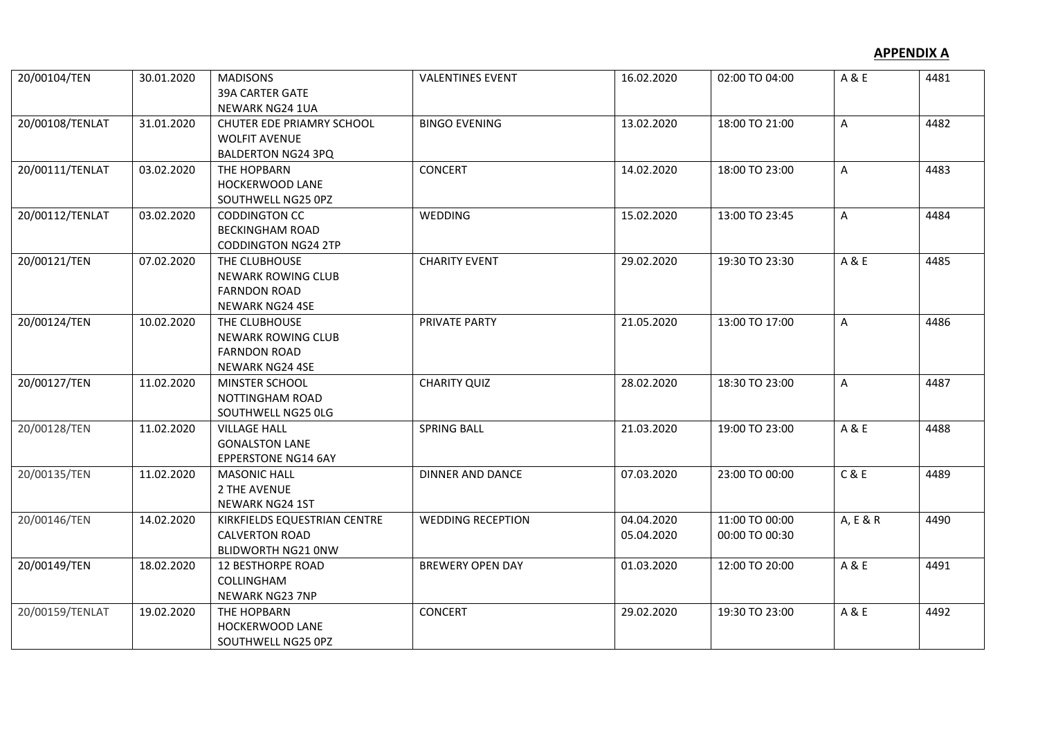| 20/00104/TEN    | 30.01.2020 | <b>MADISONS</b><br>39A CARTER GATE<br>NEWARK NG24 1UA                                | <b>VALENTINES EVENT</b>  | 16.02.2020               | 02:00 TO 04:00                   | A & E        | 4481 |
|-----------------|------------|--------------------------------------------------------------------------------------|--------------------------|--------------------------|----------------------------------|--------------|------|
| 20/00108/TENLAT | 31.01.2020 | CHUTER EDE PRIAMRY SCHOOL<br><b>WOLFIT AVENUE</b><br><b>BALDERTON NG24 3PQ</b>       | <b>BINGO EVENING</b>     | 13.02.2020               | 18:00 TO 21:00                   | A            | 4482 |
| 20/00111/TENLAT | 03.02.2020 | THE HOPBARN<br>HOCKERWOOD LANE<br>SOUTHWELL NG25 0PZ                                 | <b>CONCERT</b>           | 14.02.2020               | 18:00 TO 23:00                   | A            | 4483 |
| 20/00112/TENLAT | 03.02.2020 | <b>CODDINGTON CC</b><br><b>BECKINGHAM ROAD</b><br><b>CODDINGTON NG24 2TP</b>         | WEDDING                  | 15.02.2020               | 13:00 TO 23:45                   | A            | 4484 |
| 20/00121/TEN    | 07.02.2020 | THE CLUBHOUSE<br><b>NEWARK ROWING CLUB</b><br><b>FARNDON ROAD</b><br>NEWARK NG24 4SE | <b>CHARITY EVENT</b>     | 29.02.2020               | 19:30 TO 23:30                   | A & E        | 4485 |
| 20/00124/TEN    | 10.02.2020 | THE CLUBHOUSE<br><b>NEWARK ROWING CLUB</b><br><b>FARNDON ROAD</b><br>NEWARK NG24 4SE | PRIVATE PARTY            | 21.05.2020               | 13:00 TO 17:00                   | $\mathsf{A}$ | 4486 |
| 20/00127/TEN    | 11.02.2020 | MINSTER SCHOOL<br><b>NOTTINGHAM ROAD</b><br>SOUTHWELL NG25 OLG                       | <b>CHARITY QUIZ</b>      | 28.02.2020               | 18:30 TO 23:00                   | A            | 4487 |
| 20/00128/TEN    | 11.02.2020 | <b>VILLAGE HALL</b><br><b>GONALSTON LANE</b><br><b>EPPERSTONE NG14 6AY</b>           | <b>SPRING BALL</b>       | 21.03.2020               | 19:00 TO 23:00                   | A & E        | 4488 |
| 20/00135/TEN    | 11.02.2020 | <b>MASONIC HALL</b><br>2 THE AVENUE<br>NEWARK NG24 1ST                               | <b>DINNER AND DANCE</b>  | 07.03.2020               | 23:00 TO 00:00                   | C & E        | 4489 |
| 20/00146/TEN    | 14.02.2020 | KIRKFIELDS EQUESTRIAN CENTRE<br><b>CALVERTON ROAD</b><br><b>BLIDWORTH NG21 ONW</b>   | <b>WEDDING RECEPTION</b> | 04.04.2020<br>05.04.2020 | 11:00 TO 00:00<br>00:00 TO 00:30 | A, E & R     | 4490 |
| 20/00149/TEN    | 18.02.2020 | <b>12 BESTHORPE ROAD</b><br>COLLINGHAM<br><b>NEWARK NG23 7NP</b>                     | <b>BREWERY OPEN DAY</b>  | 01.03.2020               | 12:00 TO 20:00                   | A & E        | 4491 |
| 20/00159/TENLAT | 19.02.2020 | THE HOPBARN<br>HOCKERWOOD LANE<br>SOUTHWELL NG25 0PZ                                 | <b>CONCERT</b>           | 29.02.2020               | 19:30 TO 23:00                   | A & E        | 4492 |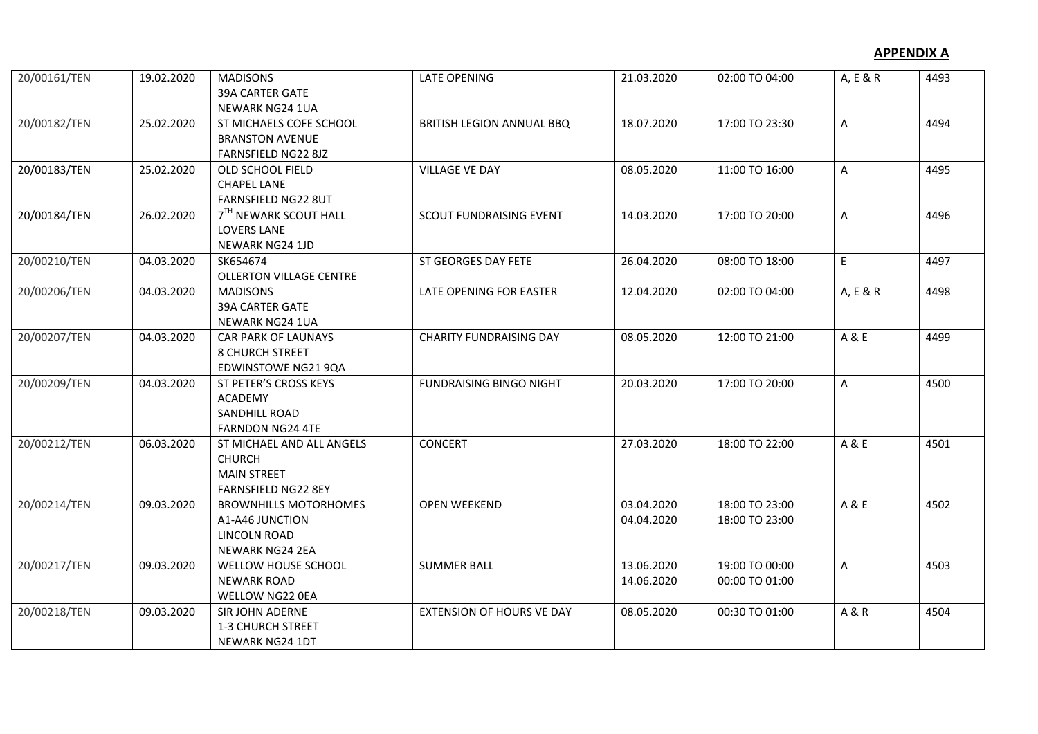| 20/00161/TEN | 19.02.2020 | <b>MADISONS</b><br><b>39A CARTER GATE</b> | <b>LATE OPENING</b>              | 21.03.2020 | 02:00 TO 04:00 | A, E & R     | 4493 |
|--------------|------------|-------------------------------------------|----------------------------------|------------|----------------|--------------|------|
|              |            | NEWARK NG24 1UA                           |                                  |            |                |              |      |
| 20/00182/TEN | 25.02.2020 | ST MICHAELS COFE SCHOOL                   | BRITISH LEGION ANNUAL BBQ        | 18.07.2020 | 17:00 TO 23:30 | A            | 4494 |
|              |            | <b>BRANSTON AVENUE</b>                    |                                  |            |                |              |      |
|              |            | FARNSFIELD NG22 8JZ                       |                                  |            |                |              |      |
| 20/00183/TEN | 25.02.2020 | OLD SCHOOL FIELD                          | <b>VILLAGE VE DAY</b>            | 08.05.2020 | 11:00 TO 16:00 | $\mathsf{A}$ | 4495 |
|              |            | <b>CHAPEL LANE</b>                        |                                  |            |                |              |      |
|              |            | FARNSFIELD NG22 8UT                       |                                  |            |                |              |      |
| 20/00184/TEN | 26.02.2020 | 7 <sup>TH</sup> NEWARK SCOUT HALL         | SCOUT FUNDRAISING EVENT          | 14.03.2020 | 17:00 TO 20:00 | $\mathsf{A}$ | 4496 |
|              |            | <b>LOVERS LANE</b>                        |                                  |            |                |              |      |
|              |            | NEWARK NG24 1JD                           |                                  |            |                |              |      |
| 20/00210/TEN | 04.03.2020 | SK654674                                  | ST GEORGES DAY FETE              | 26.04.2020 | 08:00 TO 18:00 | $\mathsf E$  | 4497 |
|              |            | <b>OLLERTON VILLAGE CENTRE</b>            |                                  |            |                |              |      |
| 20/00206/TEN | 04.03.2020 | <b>MADISONS</b>                           | LATE OPENING FOR EASTER          | 12.04.2020 | 02:00 TO 04:00 | A, E & R     | 4498 |
|              |            | <b>39A CARTER GATE</b>                    |                                  |            |                |              |      |
|              |            | <b>NEWARK NG24 1UA</b>                    |                                  |            |                |              |      |
| 20/00207/TEN | 04.03.2020 | <b>CAR PARK OF LAUNAYS</b>                | <b>CHARITY FUNDRAISING DAY</b>   | 08.05.2020 | 12:00 TO 21:00 | A&E          | 4499 |
|              |            | <b>8 CHURCH STREET</b>                    |                                  |            |                |              |      |
|              |            | <b>EDWINSTOWE NG21 9QA</b>                |                                  |            |                |              |      |
| 20/00209/TEN | 04.03.2020 | ST PETER'S CROSS KEYS                     | <b>FUNDRAISING BINGO NIGHT</b>   | 20.03.2020 | 17:00 TO 20:00 | $\mathsf{A}$ | 4500 |
|              |            | <b>ACADEMY</b>                            |                                  |            |                |              |      |
|              |            | <b>SANDHILL ROAD</b>                      |                                  |            |                |              |      |
|              |            | <b>FARNDON NG24 4TE</b>                   |                                  |            |                |              |      |
| 20/00212/TEN | 06.03.2020 | ST MICHAEL AND ALL ANGELS                 | <b>CONCERT</b>                   | 27.03.2020 | 18:00 TO 22:00 | A & E        | 4501 |
|              |            | <b>CHURCH</b>                             |                                  |            |                |              |      |
|              |            | <b>MAIN STREET</b>                        |                                  |            |                |              |      |
|              |            | FARNSFIELD NG22 8EY                       |                                  |            |                |              |      |
| 20/00214/TEN | 09.03.2020 | <b>BROWNHILLS MOTORHOMES</b>              | <b>OPEN WEEKEND</b>              | 03.04.2020 | 18:00 TO 23:00 | A & E        | 4502 |
|              |            | A1-A46 JUNCTION                           |                                  | 04.04.2020 | 18:00 TO 23:00 |              |      |
|              |            | LINCOLN ROAD                              |                                  |            |                |              |      |
|              |            | <b>NEWARK NG24 2EA</b>                    |                                  |            |                |              |      |
| 20/00217/TEN | 09.03.2020 | WELLOW HOUSE SCHOOL                       | <b>SUMMER BALL</b>               | 13.06.2020 | 19:00 TO 00:00 | $\mathsf{A}$ | 4503 |
|              |            | <b>NEWARK ROAD</b>                        |                                  | 14.06.2020 | 00:00 TO 01:00 |              |      |
|              |            | WELLOW NG22 0EA                           |                                  |            |                |              |      |
| 20/00218/TEN | 09.03.2020 | SIR JOHN ADERNE                           | <b>EXTENSION OF HOURS VE DAY</b> | 08.05.2020 | 00:30 TO 01:00 | A & R        | 4504 |
|              |            | 1-3 CHURCH STREET                         |                                  |            |                |              |      |
|              |            | <b>NEWARK NG24 1DT</b>                    |                                  |            |                |              |      |